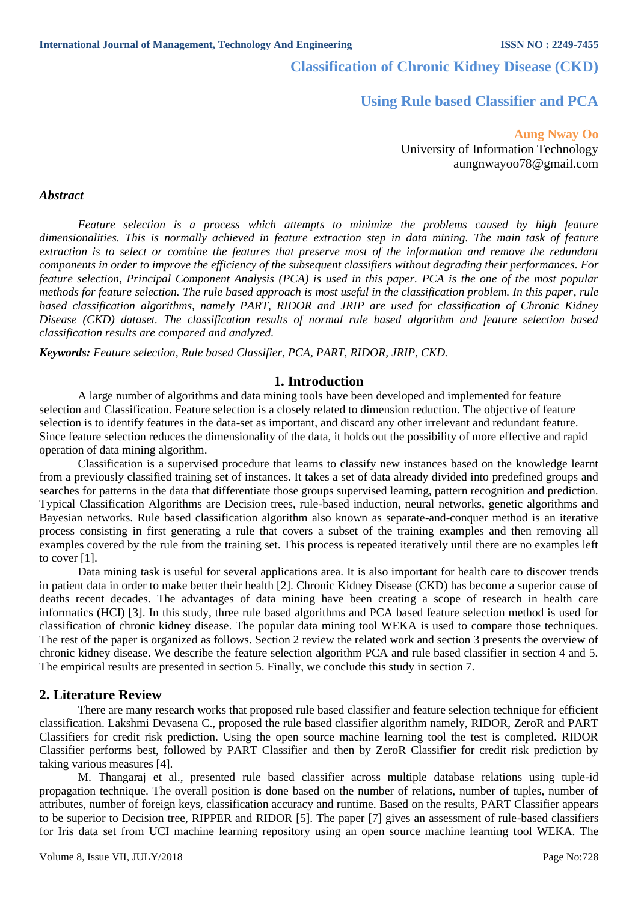**Classification of Chronic Kidney Disease (CKD)** 

# **Using Rule based Classifier and PCA**

## **Aung Nway Oo** University of Information Technology aungnwayoo78@gmail.com

#### *Abstract*

*Feature selection is a process which attempts to minimize the problems caused by high feature dimensionalities. This is normally achieved in feature extraction step in data mining. The main task of feature extraction is to select or combine the features that preserve most of the information and remove the redundant components in order to improve the efficiency of the subsequent classifiers without degrading their performances. For feature selection, Principal Component Analysis (PCA) is used in this paper. PCA is the one of the most popular methods for feature selection. The rule based approach is most useful in the classification problem. In this paper, rule based classification algorithms, namely PART, RIDOR and JRIP are used for classification of Chronic Kidney Disease (CKD) dataset. The classification results of normal rule based algorithm and feature selection based classification results are compared and analyzed.*

*Keywords: Feature selection, Rule based Classifier, PCA, PART, RIDOR, JRIP, CKD.*

#### **1. Introduction**

A large number of algorithms and data mining tools have been developed and implemented for feature selection and Classification. Feature selection is a closely related to dimension reduction. The objective of feature selection is to identify features in the data-set as important, and discard any other irrelevant and redundant feature. Since feature selection reduces the dimensionality of the data, it holds out the possibility of more effective and rapid operation of data mining algorithm.

Classification is a supervised procedure that learns to classify new instances based on the knowledge learnt from a previously classified training set of instances. It takes a set of data already divided into predefined groups and searches for patterns in the data that differentiate those groups supervised learning, pattern recognition and prediction. Typical Classification Algorithms are Decision trees, rule-based induction, neural networks, genetic algorithms and Bayesian networks. Rule based classification algorithm also known as separate-and-conquer method is an iterative process consisting in first generating a rule that covers a subset of the training examples and then removing all examples covered by the rule from the training set. This process is repeated iteratively until there are no examples left to cover [1].

Data mining task is useful for several applications area. It is also important for health care to discover trends in patient data in order to make better their health [2]. Chronic Kidney Disease (CKD) has become a superior cause of deaths recent decades. The advantages of data mining have been creating a scope of research in health care informatics (HCI) [3]. In this study, three rule based algorithms and PCA based feature selection method is used for classification of chronic kidney disease. The popular data mining tool WEKA is used to compare those techniques. The rest of the paper is organized as follows. Section 2 review the related work and section 3 presents the overview of chronic kidney disease. We describe the feature selection algorithm PCA and rule based classifier in section 4 and 5. The empirical results are presented in section 5. Finally, we conclude this study in section 7.

### **2. Literature Review**

There are many research works that proposed rule based classifier and feature selection technique for efficient classification. Lakshmi Devasena C., proposed the rule based classifier algorithm namely, RIDOR, ZeroR and PART Classifiers for credit risk prediction. Using the open source machine learning tool the test is completed. RIDOR Classifier performs best, followed by PART Classifier and then by ZeroR Classifier for credit risk prediction by taking various measures [4].

M. Thangaraj et al., presented rule based classifier across multiple database relations using tuple-id propagation technique. The overall position is done based on the number of relations, number of tuples, number of attributes, number of foreign keys, classification accuracy and runtime. Based on the results, PART Classifier appears to be superior to Decision tree, RIPPER and RIDOR [5]. The paper [7] gives an assessment of rule-based classifiers for Iris data set from UCI machine learning repository using an open source machine learning tool WEKA. The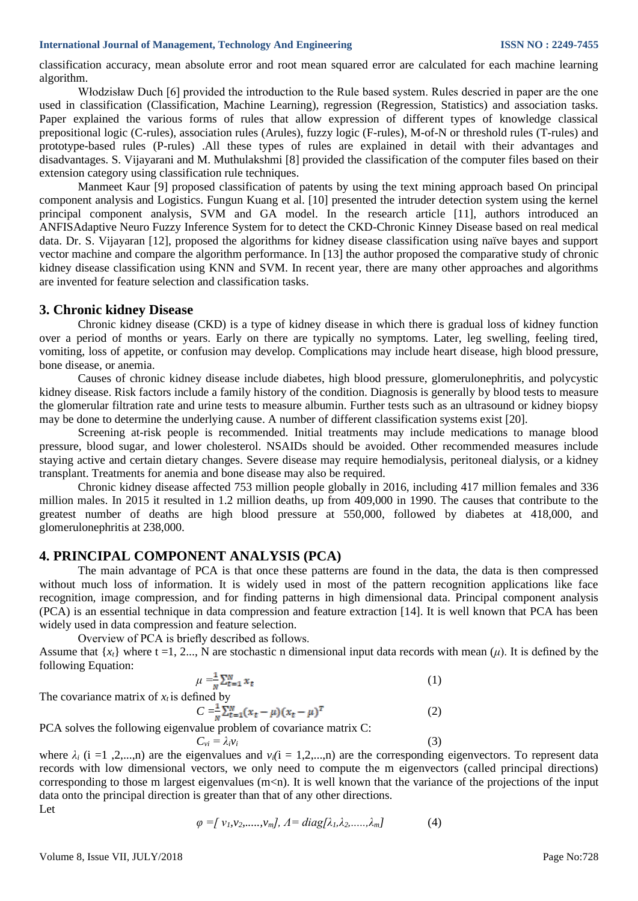#### **International Journal of Management, Technology And Engineering <b>ISSN NO : 2249-7455**

classification accuracy, mean absolute error and root mean squared error are calculated for each machine learning algorithm.

Włodzisław Duch [6] provided the introduction to the Rule based system. Rules descried in paper are the one used in classification (Classification, Machine Learning), regression (Regression, Statistics) and association tasks. Paper explained the various forms of rules that allow expression of different types of knowledge classical prepositional logic (C-rules), association rules (Arules), fuzzy logic (F-rules), M-of-N or threshold rules (T-rules) and prototype-based rules (P-rules) .All these types of rules are explained in detail with their advantages and disadvantages. S. Vijayarani and M. Muthulakshmi [8] provided the classification of the computer files based on their extension category using classification rule techniques.

Manmeet Kaur [9] proposed classification of patents by using the text mining approach based On principal component analysis and Logistics. Fungun Kuang et al. [10] presented the intruder detection system using the kernel principal component analysis, SVM and GA model. In the research article [11], authors introduced an ANFISAdaptive Neuro Fuzzy Inference System for to detect the CKD-Chronic Kinney Disease based on real medical data. Dr. S. Vijayaran [12], proposed the algorithms for kidney disease classification using naïve bayes and support vector machine and compare the algorithm performance. In [13] the author proposed the comparative study of chronic kidney disease classification using KNN and SVM. In recent year, there are many other approaches and algorithms are invented for feature selection and classification tasks.

## **3. Chronic kidney Disease**

Chronic kidney disease (CKD) is a type of kidney disease in which there is gradual loss of kidney function over a period of months or years. Early on there are typically no symptoms. Later, leg swelling, feeling tired, vomiting, loss of appetite, or confusion may develop. Complications may include heart disease, high blood pressure, bone disease, or anemia.

Causes of chronic kidney disease include diabetes, high blood pressure, glomerulonephritis, and polycystic kidney disease. Risk factors include a family history of the condition. Diagnosis is generally by blood tests to measure the glomerular filtration rate and urine tests to measure albumin. Further tests such as an ultrasound or kidney biopsy may be done to determine the underlying cause. A number of different classification systems exist [20].

Screening at-risk people is recommended. Initial treatments may include medications to manage blood pressure, blood sugar, and lower cholesterol. NSAIDs should be avoided. Other recommended measures include staying active and certain dietary changes. Severe disease may require hemodialysis, peritoneal dialysis, or a kidney transplant. Treatments for anemia and bone disease may also be required.

Chronic kidney disease affected 753 million people globally in 2016, including 417 million females and 336 million males. In 2015 it resulted in 1.2 million deaths, up from 409,000 in 1990. The causes that contribute to the greatest number of deaths are high blood pressure at 550,000, followed by diabetes at 418,000, and glomerulonephritis at 238,000.

## **4. PRINCIPAL COMPONENT ANALYSIS (PCA)**

The main advantage of PCA is that once these patterns are found in the data, the data is then compressed without much loss of information. It is widely used in most of the pattern recognition applications like face recognition, image compression, and for finding patterns in high dimensional data. Principal component analysis (PCA) is an essential technique in data compression and feature extraction [14]. It is well known that PCA has been widely used in data compression and feature selection.

Overview of PCA is briefly described as follows.

Assume that  $\{x_i\}$  where t =1, 2..., N are stochastic n dimensional input data records with mean (*u*). It is defined by the following Equation:

$$
\mu = \frac{1}{N} \sum_{t=1}^{N} x_t \tag{1}
$$

The covariance matrix of  $x_t$  is defined by

 $C = \frac{1}{x} \sum_{t=1}^{N} (x_t - \mu)(x_t - \mu)^T$  (2) PCA solves the following eigenvalue problem of covariance matrix C:

where  $\lambda_i$  (i =1,2,...,n) are the eigenvalues and  $v_i$ (i = 1,2,...,n) are the corresponding eigenvectors. To represent data records with low dimensional vectors, we only need to compute the m eigenvectors (called principal directions) corresponding to those m largest eigenvalues  $(m<sub>1</sub>)$ . It is well known that the variance of the projections of the input data onto the principal direction is greater than that of any other directions. Let

 $C_{vi} = \lambda_i v_i$  (3)

$$
\varphi = [v_1, v_2, \dots, v_m], A = diag[\lambda_1, \lambda_2, \dots, \lambda_m]
$$
 (4)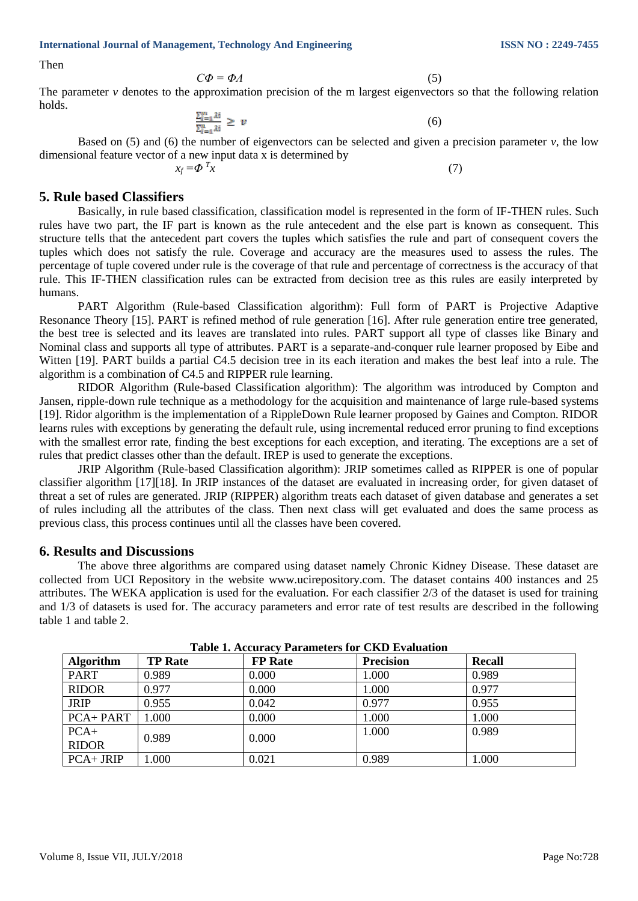**International Journal of Management, Technology And Engineering ISSN NO : 2249-7455**

Then

$$
C\Phi = \Phi A \tag{5}
$$

The parameter  $\nu$  denotes to the approximation precision of the m largest eigenvectors so that the following relation holds.

$$
\frac{\sum_{i=1}^{m} \lambda i}{\sum_{i=1}^{n} \lambda i} \geq v \tag{6}
$$

Based on (5) and (6) the number of eigenvectors can be selected and given a precision parameter *v*, the low dimensional feature vector of a new input data x is determined by

$$
x_f = \Phi \, \, x \tag{7}
$$

## **5. Rule based Classifiers**

Basically, in rule based classification, classification model is represented in the form of IF-THEN rules. Such rules have two part, the IF part is known as the rule antecedent and the else part is known as consequent. This structure tells that the antecedent part covers the tuples which satisfies the rule and part of consequent covers the tuples which does not satisfy the rule. Coverage and accuracy are the measures used to assess the rules. The percentage of tuple covered under rule is the coverage of that rule and percentage of correctness is the accuracy of that rule. This IF-THEN classification rules can be extracted from decision tree as this rules are easily interpreted by humans.

PART Algorithm (Rule-based Classification algorithm): Full form of PART is Projective Adaptive Resonance Theory [15]. PART is refined method of rule generation [16]. After rule generation entire tree generated, the best tree is selected and its leaves are translated into rules. PART support all type of classes like Binary and Nominal class and supports all type of attributes. PART is a separate-and-conquer rule learner proposed by Eibe and Witten [19]. PART builds a partial C4.5 decision tree in its each iteration and makes the best leaf into a rule. The algorithm is a combination of C4.5 and RIPPER rule learning.

RIDOR Algorithm (Rule-based Classification algorithm): The algorithm was introduced by Compton and Jansen, ripple-down rule technique as a methodology for the acquisition and maintenance of large rule-based systems [19]. Ridor algorithm is the implementation of a RippleDown Rule learner proposed by Gaines and Compton. RIDOR learns rules with exceptions by generating the default rule, using incremental reduced error pruning to find exceptions with the smallest error rate, finding the best exceptions for each exception, and iterating. The exceptions are a set of rules that predict classes other than the default. IREP is used to generate the exceptions.

JRIP Algorithm (Rule-based Classification algorithm): JRIP sometimes called as RIPPER is one of popular classifier algorithm [17][18]. In JRIP instances of the dataset are evaluated in increasing order, for given dataset of threat a set of rules are generated. JRIP (RIPPER) algorithm treats each dataset of given database and generates a set of rules including all the attributes of the class. Then next class will get evaluated and does the same process as previous class, this process continues until all the classes have been covered.

## **6. Results and Discussions**

The above three algorithms are compared using dataset namely Chronic Kidney Disease. These dataset are collected from UCI Repository in the website www.ucirepository.com. The dataset contains 400 instances and 25 attributes. The WEKA application is used for the evaluation. For each classifier 2/3 of the dataset is used for training and 1/3 of datasets is used for. The accuracy parameters and error rate of test results are described in the following table 1 and table 2.

| Table 1: Accuracy 1 arameters for CAD Lyanuation |                |                |                  |               |  |  |  |
|--------------------------------------------------|----------------|----------------|------------------|---------------|--|--|--|
| <b>Algorithm</b>                                 | <b>TP Rate</b> | <b>FP</b> Rate | <b>Precision</b> | <b>Recall</b> |  |  |  |
| <b>PART</b>                                      | 0.989          | 0.000          | 1.000            | 0.989         |  |  |  |
| <b>RIDOR</b>                                     | 0.977          | 0.000          | 1.000            | 0.977         |  |  |  |
| <b>JRIP</b>                                      | 0.955          | 0.042          | 0.977            | 0.955         |  |  |  |
| PCA+PART                                         | 1.000          | 0.000          | 1.000            | 1.000         |  |  |  |
| $PCA+$                                           | 0.989          | 0.000          | 1.000            | 0.989         |  |  |  |
| <b>RIDOR</b>                                     |                |                |                  |               |  |  |  |
| $PCA + JRIP$                                     | .000           | 0.021          | 0.989            | 1.000         |  |  |  |

**Table 1. Accuracy Parameters for CKD Evaluation**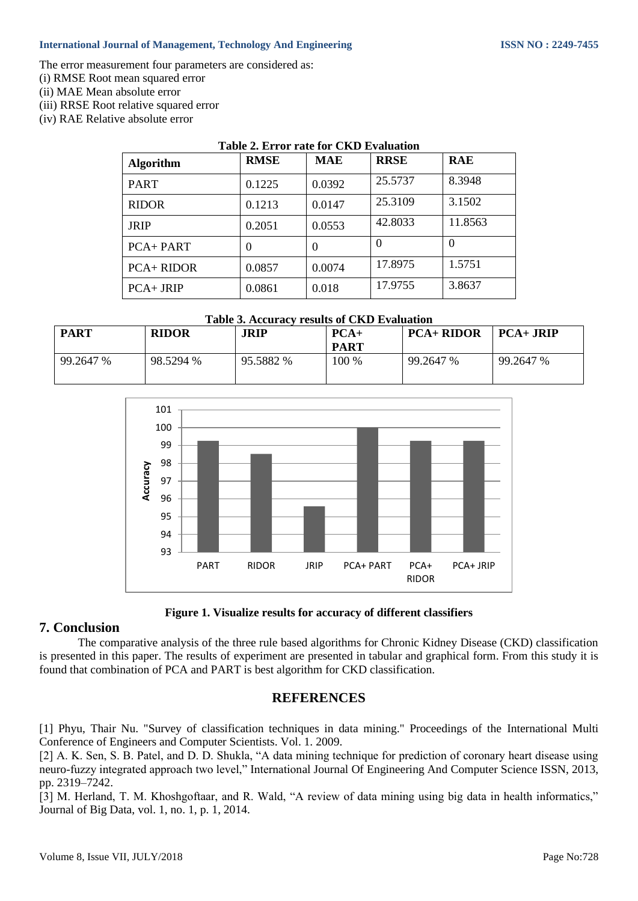### **International Journal of Management, Technology And Engineering ISSN NO : 2249-7455**

The error measurement four parameters are considered as:

- (i) RMSE Root mean squared error
- (ii) MAE Mean absolute error
- (iii) RRSE Root relative squared error
- (iv) RAE Relative absolute error

| Table 2. Error rate for CKD Evaluation |             |            |             |            |  |  |  |  |
|----------------------------------------|-------------|------------|-------------|------------|--|--|--|--|
| <b>Algorithm</b>                       | <b>RMSE</b> | <b>MAE</b> | <b>RRSE</b> | <b>RAE</b> |  |  |  |  |
| <b>PART</b>                            | 0.1225      | 0.0392     | 25.5737     | 8.3948     |  |  |  |  |
| <b>RIDOR</b>                           | 0.1213      | 0.0147     | 25.3109     | 3.1502     |  |  |  |  |
| <b>JRIP</b>                            | 0.2051      | 0.0553     | 42.8033     | 11.8563    |  |  |  |  |
| <b>PCA+PART</b>                        | $\theta$    | 0          |             | $\Omega$   |  |  |  |  |
| <b>PCA+ RIDOR</b>                      | 0.0857      | 0.0074     | 17.8975     | 1.5751     |  |  |  |  |
| $PCA+JRIP$                             | 0.0861      | 0.018      | 17.9755     | 3.8637     |  |  |  |  |

#### **Table 3. Accuracy results of CKD Evaluation**

| <b>PART</b> | <b>RIDOR</b> | JRIP      | $PCA+$<br><b>PART</b> | <b>PCA+ RIDOR</b> | $PCA + JRIP$ |
|-------------|--------------|-----------|-----------------------|-------------------|--------------|
| 99.2647 %   | 98.5294 %    | 95.5882 % | 100 %                 | 99.2647 %         | 99.2647 %    |



#### **Figure 1. Visualize results for accuracy of different classifiers**

## **7. Conclusion**

The comparative analysis of the three rule based algorithms for Chronic Kidney Disease (CKD) classification is presented in this paper. The results of experiment are presented in tabular and graphical form. From this study it is found that combination of PCA and PART is best algorithm for CKD classification.

## **REFERENCES**

[1] Phyu, Thair Nu. "Survey of classification techniques in data mining." Proceedings of the International Multi Conference of Engineers and Computer Scientists. Vol. 1. 2009.

[2] A. K. Sen, S. B. Patel, and D. D. Shukla, "A data mining technique for prediction of coronary heart disease using neuro-fuzzy integrated approach two level," International Journal Of Engineering And Computer Science ISSN, 2013, pp. 2319–7242.

[3] M. Herland, T. M. Khoshgoftaar, and R. Wald, "A review of data mining using big data in health informatics," Journal of Big Data, vol. 1, no. 1, p. 1, 2014.